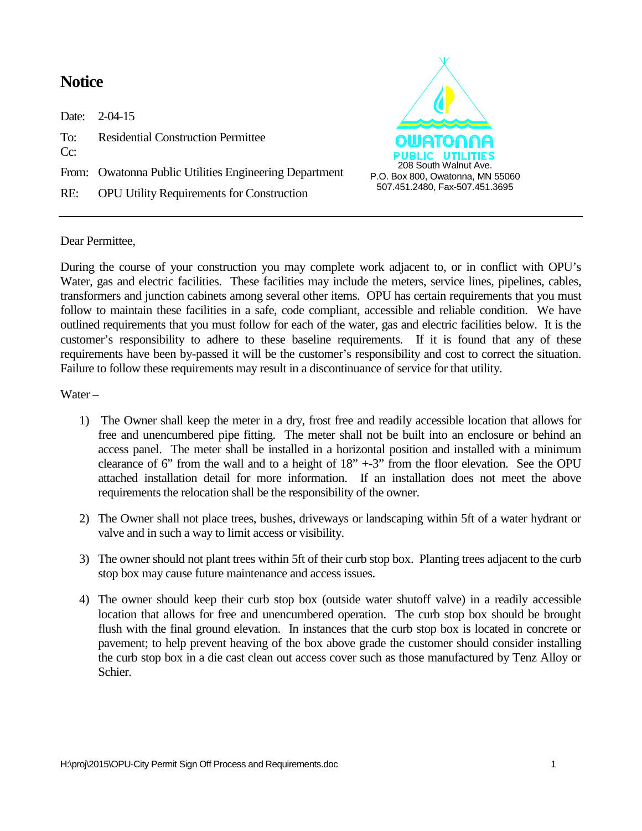## **Notice**

Date: 2-04-15 To: Residential Construction Permittee Cc: From: Owatonna Public Utilities Engineering Department RE: OPU Utility Requirements for Construction



## Dear Permittee,

During the course of your construction you may complete work adjacent to, or in conflict with OPU's Water, gas and electric facilities. These facilities may include the meters, service lines, pipelines, cables, transformers and junction cabinets among several other items. OPU has certain requirements that you must follow to maintain these facilities in a safe, code compliant, accessible and reliable condition. We have outlined requirements that you must follow for each of the water, gas and electric facilities below. It is the customer's responsibility to adhere to these baseline requirements. If it is found that any of these requirements have been by-passed it will be the customer's responsibility and cost to correct the situation. Failure to follow these requirements may result in a discontinuance of service for that utility.

Water –

- 1) The Owner shall keep the meter in a dry, frost free and readily accessible location that allows for free and unencumbered pipe fitting. The meter shall not be built into an enclosure or behind an access panel. The meter shall be installed in a horizontal position and installed with a minimum clearance of 6" from the wall and to a height of  $18" + -3"$  from the floor elevation. See the OPU attached installation detail for more information. If an installation does not meet the above requirements the relocation shall be the responsibility of the owner.
- 2) The Owner shall not place trees, bushes, driveways or landscaping within 5ft of a water hydrant or valve and in such a way to limit access or visibility.
- 3) The owner should not plant trees within 5ft of their curb stop box. Planting trees adjacent to the curb stop box may cause future maintenance and access issues.
- 4) The owner should keep their curb stop box (outside water shutoff valve) in a readily accessible location that allows for free and unencumbered operation. The curb stop box should be brought flush with the final ground elevation. In instances that the curb stop box is located in concrete or pavement; to help prevent heaving of the box above grade the customer should consider installing the curb stop box in a die cast clean out access cover such as those manufactured by Tenz Alloy or Schier.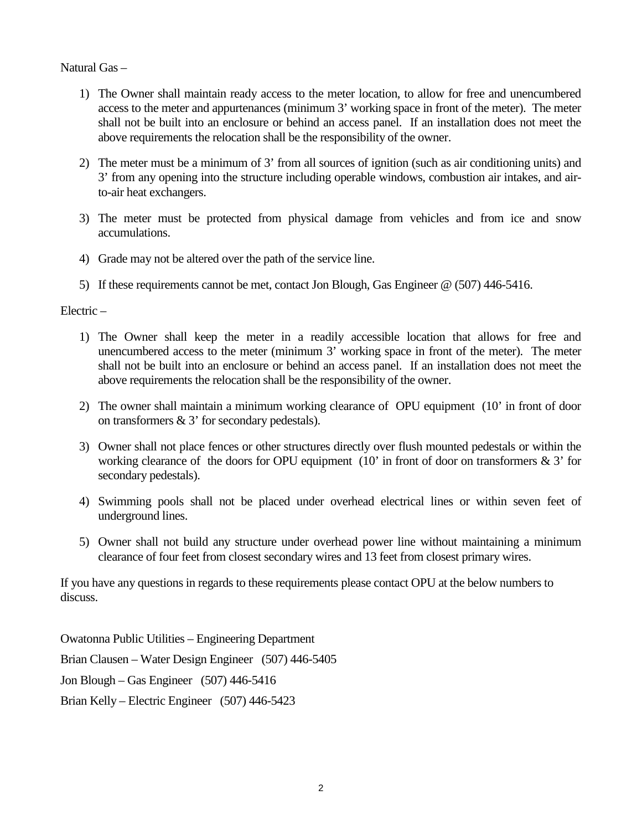## Natural Gas –

- 1) The Owner shall maintain ready access to the meter location, to allow for free and unencumbered access to the meter and appurtenances (minimum 3' working space in front of the meter). The meter shall not be built into an enclosure or behind an access panel. If an installation does not meet the above requirements the relocation shall be the responsibility of the owner.
- 2) The meter must be a minimum of 3' from all sources of ignition (such as air conditioning units) and 3' from any opening into the structure including operable windows, combustion air intakes, and airto-air heat exchangers.
- 3) The meter must be protected from physical damage from vehicles and from ice and snow accumulations.
- 4) Grade may not be altered over the path of the service line.
- 5) If these requirements cannot be met, contact Jon Blough, Gas Engineer @ (507) 446-5416.

## Electric –

- 1) The Owner shall keep the meter in a readily accessible location that allows for free and unencumbered access to the meter (minimum 3' working space in front of the meter). The meter shall not be built into an enclosure or behind an access panel. If an installation does not meet the above requirements the relocation shall be the responsibility of the owner.
- 2) The owner shall maintain a minimum working clearance of OPU equipment (10' in front of door on transformers & 3' for secondary pedestals).
- 3) Owner shall not place fences or other structures directly over flush mounted pedestals or within the working clearance of the doors for OPU equipment  $(10)$  in front of door on transformers & 3' for secondary pedestals).
- 4) Swimming pools shall not be placed under overhead electrical lines or within seven feet of underground lines.
- 5) Owner shall not build any structure under overhead power line without maintaining a minimum clearance of four feet from closest secondary wires and 13 feet from closest primary wires.

If you have any questions in regards to these requirements please contact OPU at the below numbers to discuss.

Owatonna Public Utilities – Engineering Department Brian Clausen – Water Design Engineer (507) 446-5405 Jon Blough – Gas Engineer (507) 446-5416 Brian Kelly – Electric Engineer (507) 446-5423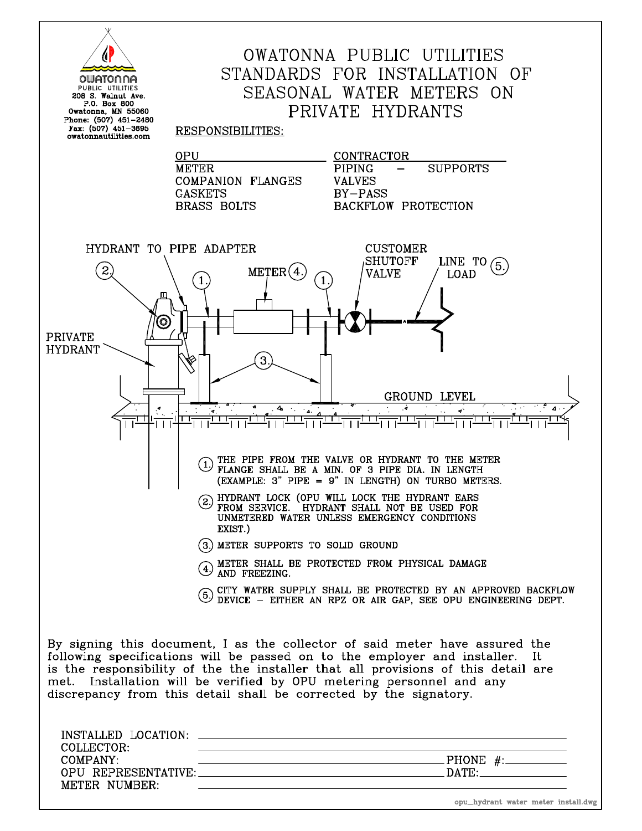|                                             | OWATONNA PUBLIC UTILITIES                                                                                                            |
|---------------------------------------------|--------------------------------------------------------------------------------------------------------------------------------------|
|                                             |                                                                                                                                      |
| OWATONNA                                    | STANDARDS FOR INSTALLATION OF                                                                                                        |
| PUBLIC UTILITIES<br>208 S. Walnut Ave.      | SEASONAL WATER METERS ON                                                                                                             |
| P.O. Box 800                                |                                                                                                                                      |
| Owatonna, MN 55060<br>Phone: (507) 451-2480 | PRIVATE HYDRANTS                                                                                                                     |
| Fax: (507) 451-3695                         | RESPONSIBILITIES:                                                                                                                    |
| owatonnautilities.com                       |                                                                                                                                      |
|                                             | 0PU<br>CONTRACTOR                                                                                                                    |
|                                             | <b>METER</b><br>PIPING<br><b>SUPPORTS</b>                                                                                            |
|                                             | <b>COMPANION FLANGES</b><br><b>VALVES</b>                                                                                            |
|                                             | <b>GASKETS</b><br>BY-PASS                                                                                                            |
|                                             | <b>BRASS BOLTS</b><br>BACKFLOW PROTECTION                                                                                            |
|                                             |                                                                                                                                      |
|                                             |                                                                                                                                      |
|                                             |                                                                                                                                      |
| HYDRANT TO PIPE ADAPTER                     | <b>CUSTOMER</b>                                                                                                                      |
|                                             | SHUTOFF<br>LINE TO                                                                                                                   |
| $\mathbf{S}$                                | ΄5.<br><b>METER</b><br><b>VALVE</b><br>LOAD                                                                                          |
|                                             |                                                                                                                                      |
|                                             |                                                                                                                                      |
|                                             |                                                                                                                                      |
| ٥                                           |                                                                                                                                      |
| <b>PRIVATE</b>                              |                                                                                                                                      |
| <b>HYDRANT</b>                              |                                                                                                                                      |
|                                             | 3                                                                                                                                    |
|                                             |                                                                                                                                      |
|                                             |                                                                                                                                      |
|                                             | GROUND LEVEL                                                                                                                         |
|                                             | 4                                                                                                                                    |
|                                             |                                                                                                                                      |
|                                             |                                                                                                                                      |
|                                             |                                                                                                                                      |
|                                             | THE PIPE FROM THE VALVE OR HYDRANT TO THE METER                                                                                      |
|                                             | (1.<br>FLANGE SHALL BE A MIN. OF 3 PIPE DIA. IN LENGTH                                                                               |
|                                             | (EXAMPLE: 3" PIPE = 9" IN LENGTH) ON TURBO METERS                                                                                    |
|                                             | 2 HYDRANT LOCK (OPU WILL LOCK THE HYDRANT EARS                                                                                       |
|                                             | FROM SERVICE. HYDRANT SHALL NOT BE USED FOR                                                                                          |
|                                             | UNMETERED WATER UNLESS EMERGENCY CONDITIONS                                                                                          |
|                                             | EXIST.)                                                                                                                              |
|                                             | (3.) METER SUPPORTS TO SOLID GROUND                                                                                                  |
|                                             |                                                                                                                                      |
|                                             | 4) METER SHALL BE PROTECTED FROM PHYSICAL DAMAGE AND FREEZING.                                                                       |
|                                             |                                                                                                                                      |
|                                             | (5) CITY WATER SUPPLY SHALL BE PROTECTED BY AN APPROVED BACKFLOW<br>(5) DEVICE – EITHER AN RPZ OR AIR GAP, SEE OPU ENGINEERING DEPT. |
|                                             |                                                                                                                                      |
|                                             |                                                                                                                                      |
|                                             |                                                                                                                                      |
|                                             | By signing this document, I as the collector of said meter have assured the                                                          |
|                                             | following specifications will be passed on to the employer and installer.<br>-It                                                     |
|                                             | is the responsibility of the the installer that all provisions of this detail are                                                    |
|                                             | met. Installation will be verified by OPU metering personnel and any                                                                 |
|                                             | discrepancy from this detail shall be corrected by the signatory.                                                                    |
|                                             |                                                                                                                                      |
|                                             |                                                                                                                                      |
|                                             |                                                                                                                                      |
|                                             |                                                                                                                                      |
| COLLECTOR:                                  |                                                                                                                                      |
| COMPANY:                                    | $PHONE$ #:                                                                                                                           |
|                                             |                                                                                                                                      |
|                                             |                                                                                                                                      |
| METER NUMBER:                               |                                                                                                                                      |